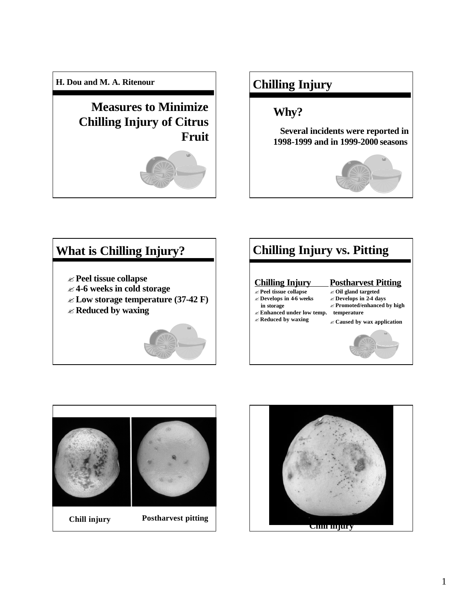**H. Dou and M. A. Ritenour**

**Measures to Minimize Chilling Injury of Citrus Fruit** 



# **Chilling Injury**

## **Why?**

**Several incidents were reported in 1998-1999 and in 1999-2000 seasons**



#### ? **Peel tissue collapse** ? **4-6 weeks in cold storage** ? **Low storage temperature (37-42 F)**  ? **Reduced by waxing What is Chilling Injury? Postharvest Pitting** ? **Oil gland targeted** ? **Develops in 2-4 days**  ? **Promoted/enhanced by high**   $\epsilon$  Enhanced under low temp. temperature ? **Caused by wax application Chilling Injury** ? **Peel tissue collapse** ? **Develops in 4-6 weeks in storage** ? **Reduced by waxing Chilling Injury vs. Pitting**



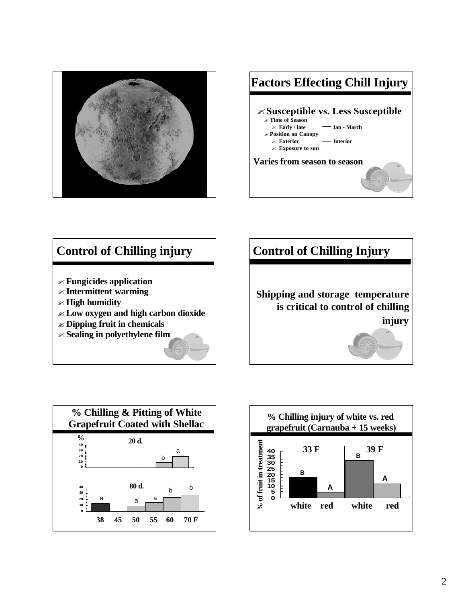



## ? **Fungicides application** ? **Intermittent warming** ? **High humidity**  ? **Low oxygen and high carbon dioxide** ? **Dipping fruit in chemicals** ? **Sealing in polyethylene film Control of Chilling injury | | | | Control of Chilling Injury**